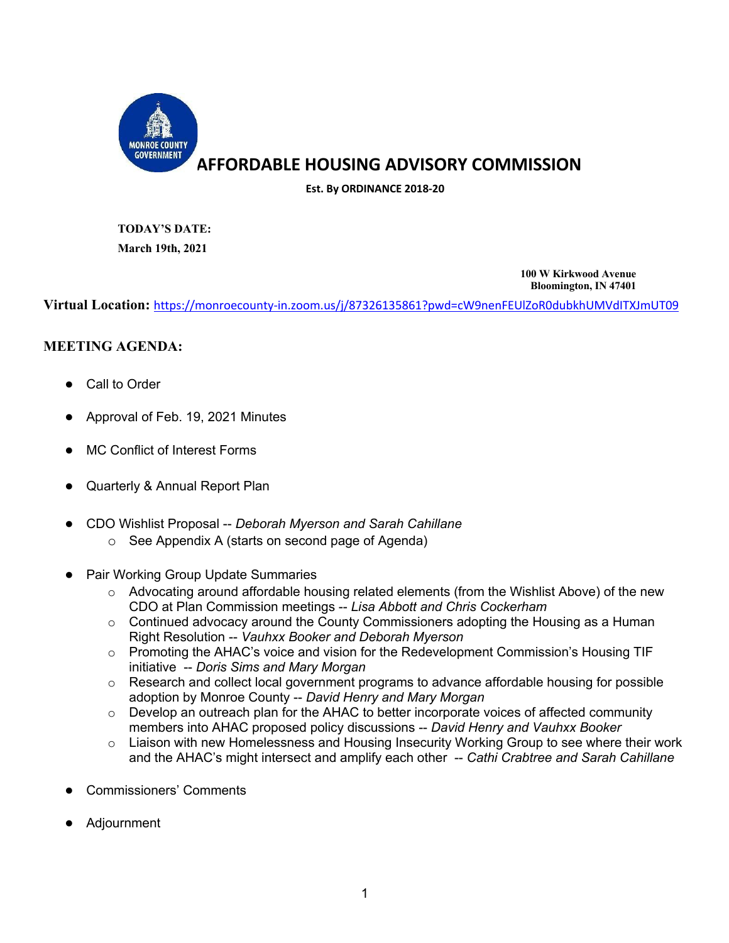

## **AFFORDABLE HOUSING ADVISORY COMMISSION**

**Est. By ORDINANCE 2018-20**

**TODAY'S DATE: March 19th, 2021**

> **100 W Kirkwood Avenue Bloomington, IN 47401**

**Virtual Location:** https://monroecounty-in.zoom.us/j/87326135861?pwd=cW9nenFEUlZoR0dubkhUMVdITXJmUT09

### **MEETING AGENDA:**

- Call to Order
- Approval of Feb. 19, 2021 Minutes
- MC Conflict of Interest Forms
- Quarterly & Annual Report Plan
- CDO Wishlist Proposal -- *Deborah Myerson and Sarah Cahillane*
	- o See Appendix A (starts on second page of Agenda)
- Pair Working Group Update Summaries
	- $\circ$  Advocating around affordable housing related elements (from the Wishlist Above) of the new CDO at Plan Commission meetings -- *Lisa Abbott and Chris Cockerham*
	- o Continued advocacy around the County Commissioners adopting the Housing as a Human Right Resolution -- *Vauhxx Booker and Deborah Myerson*
	- o Promoting the AHAC's voice and vision for the Redevelopment Commission's Housing TIF initiative -- *Doris Sims and Mary Morgan*
	- $\circ$  Research and collect local government programs to advance affordable housing for possible adoption by Monroe County -- *David Henry and Mary Morgan*
	- $\circ$  Develop an outreach plan for the AHAC to better incorporate voices of affected community members into AHAC proposed policy discussions -- *David Henry and Vauhxx Booker*
	- o Liaison with new Homelessness and Housing Insecurity Working Group to see where their work and the AHAC's might intersect and amplify each other -- *Cathi Crabtree and Sarah Cahillane*
- Commissioners' Comments
- **Adjournment**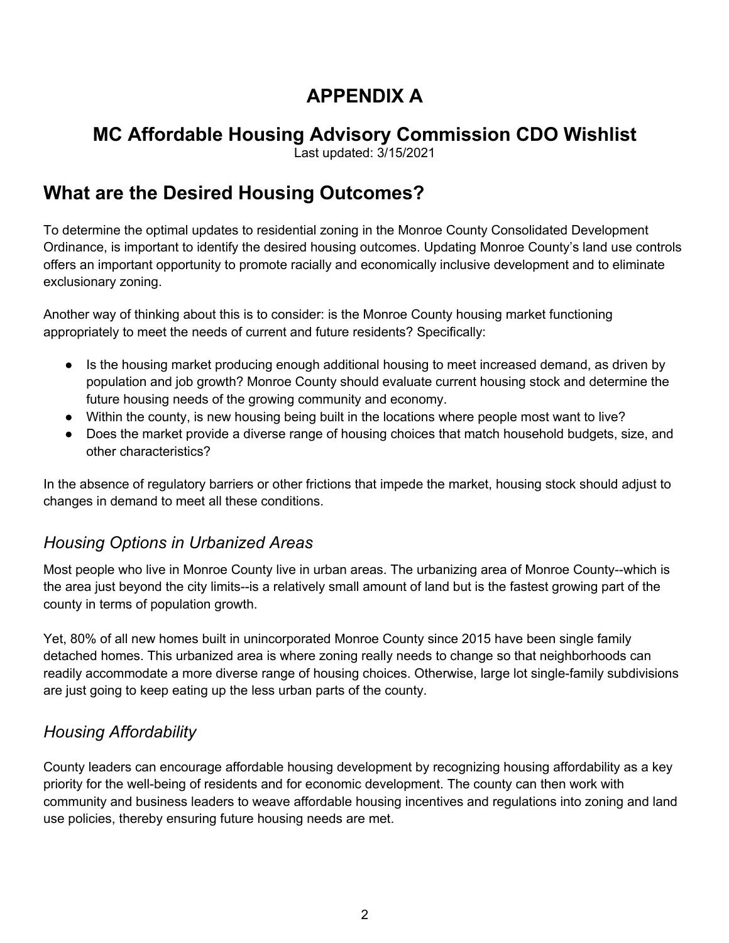# **APPENDIX A**

# **MC Affordable Housing Advisory Commission CDO Wishlist**

Last updated: 3/15/2021

# **What are the Desired Housing Outcomes?**

To determine the optimal updates to residential zoning in the Monroe County Consolidated Development Ordinance, is important to identify the desired housing outcomes. Updating Monroe County's land use controls offers an important opportunity to promote racially and economically inclusive development and to eliminate exclusionary zoning.

Another way of thinking about this is to consider: is the Monroe County housing market functioning appropriately to meet the needs of current and future residents? Specifically:

- Is the housing market producing enough additional housing to meet increased demand, as driven by population and job growth? Monroe County should evaluate current housing stock and determine the future housing needs of the growing community and economy.
- Within the county, is new housing being built in the locations where people most want to live?
- Does the market provide a diverse range of housing choices that match household budgets, size, and other characteristics?

In the absence of regulatory barriers or other frictions that impede the market, housing stock should adjust to changes in demand to meet all these conditions.

## *Housing Options in Urbanized Areas*

Most people who live in Monroe County live in urban areas. The urbanizing area of Monroe County--which is the area just beyond the city limits--is a relatively small amount of land but is the fastest growing part of the county in terms of population growth.

Yet, 80% of all new homes built in unincorporated Monroe County since 2015 have been single family detached homes. This urbanized area is where zoning really needs to change so that neighborhoods can readily accommodate a more diverse range of housing choices. Otherwise, large lot single-family subdivisions are just going to keep eating up the less urban parts of the county.

## *Housing Affordability*

County leaders can encourage affordable housing development by recognizing housing affordability as a key priority for the well-being of residents and for economic development. The county can then work with community and business leaders to weave affordable housing incentives and regulations into zoning and land use policies, thereby ensuring future housing needs are met.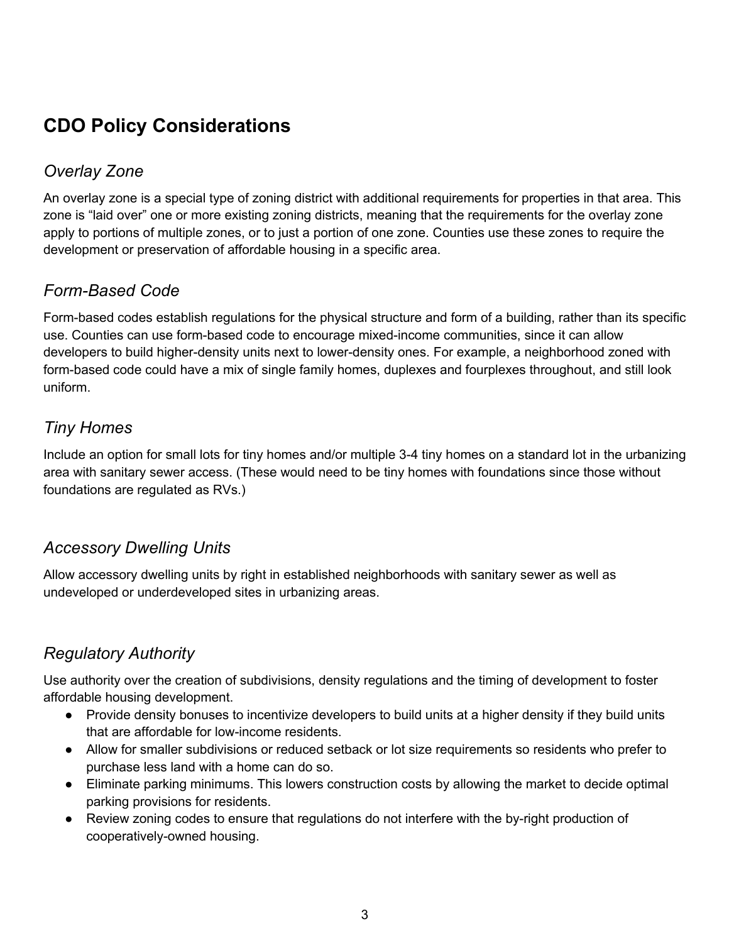# **CDO Policy Considerations**

## *Overlay Zone*

An overlay zone is a special type of zoning district with additional requirements for properties in that area. This zone is "laid over" one or more existing zoning districts, meaning that the requirements for the overlay zone apply to portions of multiple zones, or to just a portion of one zone. Counties use these zones to require the development or preservation of affordable housing in a specific area.

## *Form-Based Code*

Form-based codes establish regulations for the physical structure and form of a building, rather than its specific use. Counties can use form-based code to encourage mixed-income communities, since it can allow developers to build higher-density units next to lower-density ones. For example, a neighborhood zoned with form-based code could have a mix of single family homes, duplexes and fourplexes throughout, and still look uniform.

## *Tiny Homes*

Include an option for small lots for tiny homes and/or multiple 3-4 tiny homes on a standard lot in the urbanizing area with sanitary sewer access. (These would need to be tiny homes with foundations since those without foundations are regulated as RVs.)

## *Accessory Dwelling Units*

Allow accessory dwelling units by right in established neighborhoods with sanitary sewer as well as undeveloped or underdeveloped sites in urbanizing areas.

## *Regulatory Authority*

Use authority over the creation of subdivisions, density regulations and the timing of development to foster affordable housing development.

- Provide density bonuses to incentivize developers to build units at a higher density if they build units that are affordable for low-income residents.
- Allow for smaller subdivisions or reduced setback or lot size requirements so residents who prefer to purchase less land with a home can do so.
- Eliminate parking minimums. This lowers construction costs by allowing the market to decide optimal parking provisions for residents.
- Review zoning codes to ensure that regulations do not interfere with the by-right production of cooperatively-owned housing.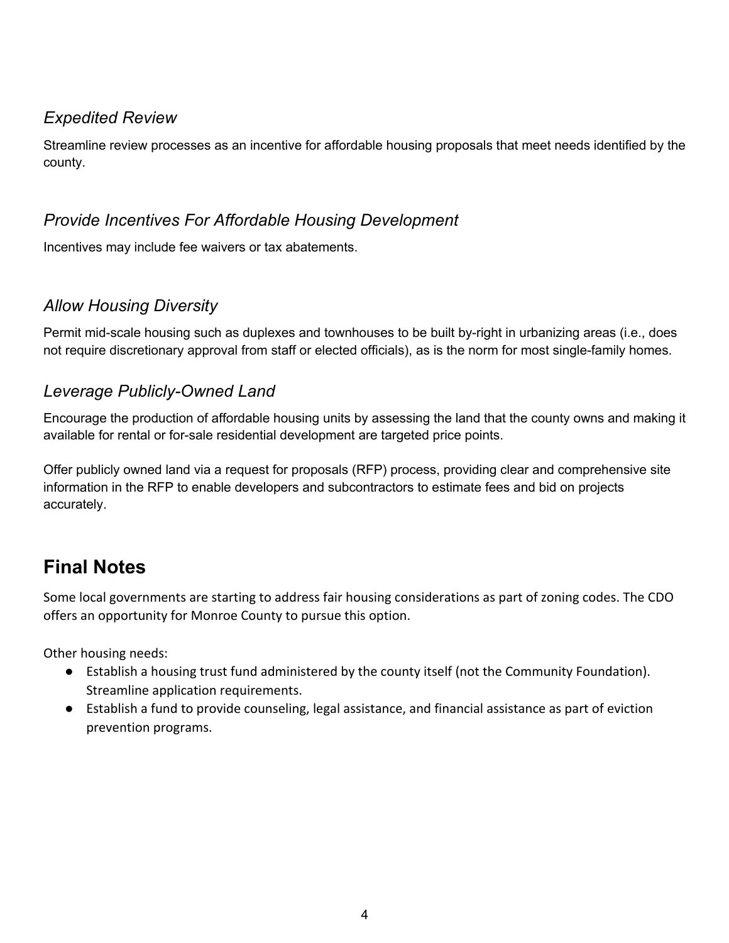## *Expedited Review*

Streamline review processes as an incentive for affordable housing proposals that meet needs identified by the county.

## *Provide Incentives For Affordable Housing Development*

Incentives may include fee waivers or tax abatements.

## *Allow Housing Diversity*

Permit mid-scale housing such as duplexes and townhouses to be built by-right in urbanizing areas (i.e., does not require discretionary approval from staff or elected officials), as is the norm for most single-family homes.

### *Leverage Publicly-Owned Land*

Encourage the production of affordable housing units by assessing the land that the county owns and making it available for rental or for-sale residential development are targeted price points.

Offer publicly owned land via a request for proposals (RFP) process, providing clear and comprehensive site information in the RFP to enable developers and subcontractors to estimate fees and bid on projects accurately.

# **Final Notes**

Some local governments are starting to address fair housing considerations as part of zoning codes. The CDO offers an opportunity for Monroe County to pursue this option.

Other housing needs:

- Establish a housing trust fund administered by the county itself (not the Community Foundation). Streamline application requirements.
- Establish a fund to provide counseling, legal assistance, and financial assistance as part of eviction prevention programs.